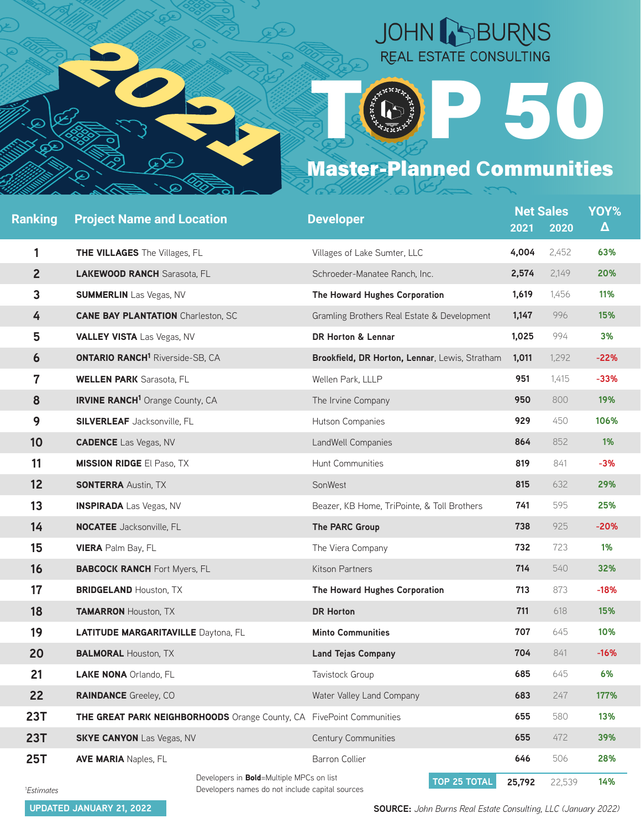

## JOHN BURNS REAL ESTATE CONSULTING

50

## Master-Planned Communities

| <b>Ranking</b>         | <b>Project Name and Location</b>                                                                    | <b>Developer</b>                               | 2021   | <b>Net Sales</b><br>2020 | YOY%<br>$\Delta$ |
|------------------------|-----------------------------------------------------------------------------------------------------|------------------------------------------------|--------|--------------------------|------------------|
| 1                      | THE VILLAGES The Villages, FL                                                                       | Villages of Lake Sumter, LLC                   | 4,004  | 2,452                    | 63%              |
| $\overline{2}$         | <b>LAKEWOOD RANCH Sarasota, FL</b>                                                                  | Schroeder-Manatee Ranch, Inc.                  | 2,574  | 2,149                    | 20%              |
| 3                      | <b>SUMMERLIN</b> Las Vegas, NV                                                                      | The Howard Hughes Corporation                  | 1,619  | 1,456                    | 11%              |
| 4                      | <b>CANE BAY PLANTATION Charleston, SC</b>                                                           | Gramling Brothers Real Estate & Development    | 1,147  | 996                      | 15%              |
| 5                      | <b>VALLEY VISTA Las Vegas, NV</b>                                                                   | DR Horton & Lennar                             | 1,025  | 994                      | 3%               |
| 6                      | <b>ONTARIO RANCH<sup>1</sup></b> Riverside-SB, CA                                                   | Brookfield, DR Horton, Lennar, Lewis, Stratham | 1,011  | 1,292                    | $-22%$           |
| $\mathbf 7$            | <b>WELLEN PARK</b> Sarasota, FL                                                                     | Wellen Park, LLLP                              | 951    | 1,415                    | $-33%$           |
| 8                      | <b>IRVINE RANCH<sup>1</sup></b> Orange County, CA                                                   | The Irvine Company                             | 950    | 800                      | 19%              |
| 9                      | <b>SILVERLEAF</b> Jacksonville, FL                                                                  | Hutson Companies                               | 929    | 450                      | 106%             |
| 10                     | <b>CADENCE</b> Las Vegas, NV                                                                        | LandWell Companies                             | 864    | 852                      | 1%               |
| 11                     | <b>MISSION RIDGE El Paso, TX</b>                                                                    | Hunt Communities                               | 819    | 841                      | $-3%$            |
| 12                     | <b>SONTERRA Austin, TX</b>                                                                          | SonWest                                        | 815    | 632                      | 29%              |
| 13                     | <b>INSPIRADA</b> Las Vegas, NV                                                                      | Beazer, KB Home, TriPointe, & Toll Brothers    | 741    | 595                      | 25%              |
| 14                     | <b>NOCATEE</b> Jacksonville, FL                                                                     | The PARC Group                                 | 738    | 925                      | $-20%$           |
| 15                     | <b>VIERA</b> Palm Bay, FL                                                                           | The Viera Company                              | 732    | 723                      | 1%               |
| 16                     | <b>BABCOCK RANCH Fort Myers, FL</b>                                                                 | Kitson Partners                                | 714    | 540                      | 32%              |
| 17                     | <b>BRIDGELAND Houston, TX</b>                                                                       | The Howard Hughes Corporation                  | 713    | 873                      | $-18%$           |
| 18                     | <b>TAMARRON Houston, TX</b>                                                                         | <b>DR Horton</b>                               | 711    | 618                      | 15%              |
| 19                     | <b>LATITUDE MARGARITAVILLE Daytona, FL</b>                                                          | <b>Minto Communities</b>                       | 707    | 645                      | 10%              |
| 20                     | <b>BALMORAL Houston, TX</b>                                                                         | <b>Land Tejas Company</b>                      | 704    | 841                      | $-16%$           |
| 21                     | <b>LAKE NONA Orlando, FL</b>                                                                        | Tavistock Group                                | 685    | 645                      | 6%               |
| 22                     | <b>RAINDANCE</b> Greeley, CO                                                                        | Water Valley Land Company                      | 683    | 247                      | 177%             |
| <b>23T</b>             | THE GREAT PARK NEIGHBORHOODS Orange County, CA FivePoint Communities                                |                                                | 655    | 580                      | 13%              |
| <b>23T</b>             | <b>SKYE CANYON</b> Las Vegas, NV                                                                    | Century Communities                            | 655    | 472                      | 39%              |
| <b>25T</b>             | <b>AVE MARIA Naples, FL</b>                                                                         | <b>Barron Collier</b>                          | 646    | 506                      | 28%              |
| <sup>1</sup> Estimates | Developers in <b>Bold</b> =Multiple MPCs on list<br>Developers names do not include capital sources | TOP 25 TOTAL                                   | 25,792 | 22,539                   | 14%              |

**UPDATED JANUARY 21, 2022**

**SOURCE:** *John Burns Real Estate Consulting, LLC (January 2022)*